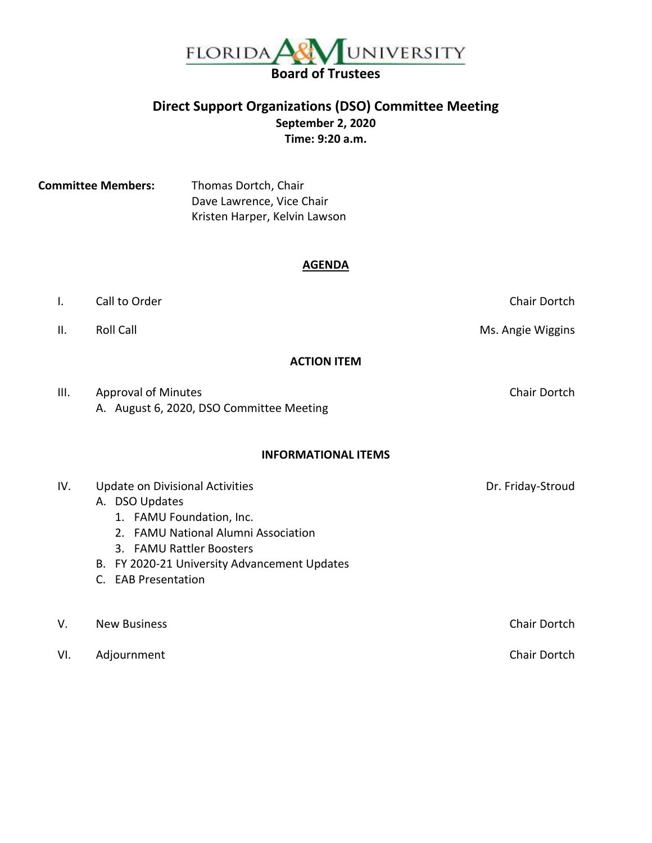

## **Direct Support Organizations (DSO) Committee Meeting September 2, 2020 Time: 9:20 a.m.**

**Committee Members:** Thomas Dortch, Chair Dave Lawrence, Vice Chair Kristen Harper, Kelvin Lawson

#### **AGENDA**

I. Call to Order Chair Dortch Chair Dortch Chair Dortch Chair Dortch Chair Dortch Chair Dortch Chair Dortch Ch II. Roll Call **National Collection Control Control** Ms. Angie Wiggins **ACTION ITEM** III. Approval of Minutes **Chair Dortch** A. August 6, 2020, DSO Committee Meeting **INFORMATIONAL ITEMS** IV. Update on Divisional Activities and the control of the Dr. Friday-Stroud A. DSO Updates 1. FAMU Foundation, Inc. 2. FAMU National Alumni Association 3. FAMU Rattler Boosters B. FY 2020-21 University Advancement Updates C. EAB Presentation V. New Business **Chair Dortch** Chair Dortch **Chair Dortch** Chair Dortch **Chair Dortch** VI. Adjournment Chair Dortch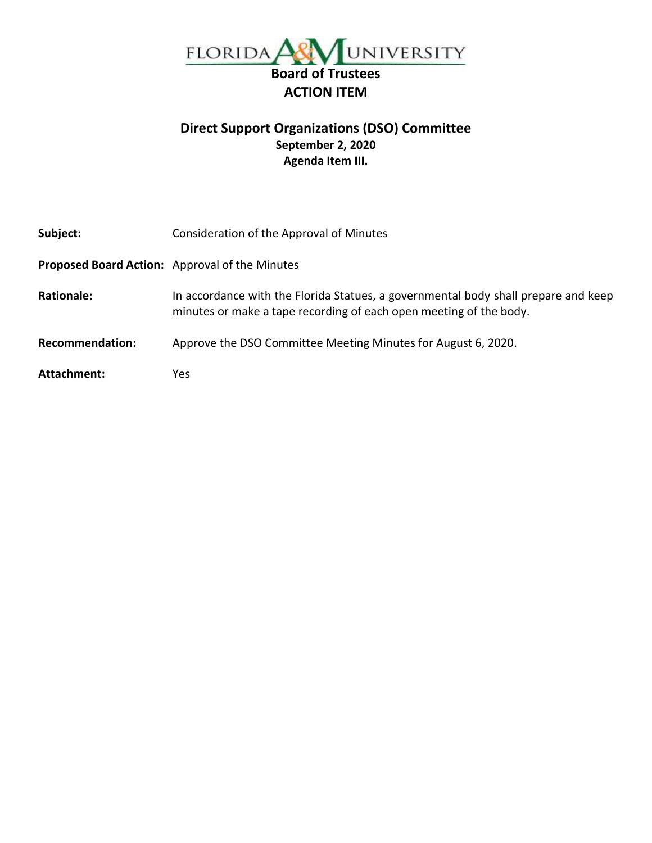

# **Direct Support Organizations (DSO) Committee September 2, 2020 Agenda Item III.**

| Subject:               | Consideration of the Approval of Minutes                                                                                                                 |
|------------------------|----------------------------------------------------------------------------------------------------------------------------------------------------------|
|                        | <b>Proposed Board Action:</b> Approval of the Minutes                                                                                                    |
| <b>Rationale:</b>      | In accordance with the Florida Statues, a governmental body shall prepare and keep<br>minutes or make a tape recording of each open meeting of the body. |
| <b>Recommendation:</b> | Approve the DSO Committee Meeting Minutes for August 6, 2020.                                                                                            |
| Attachment:            | Yes.                                                                                                                                                     |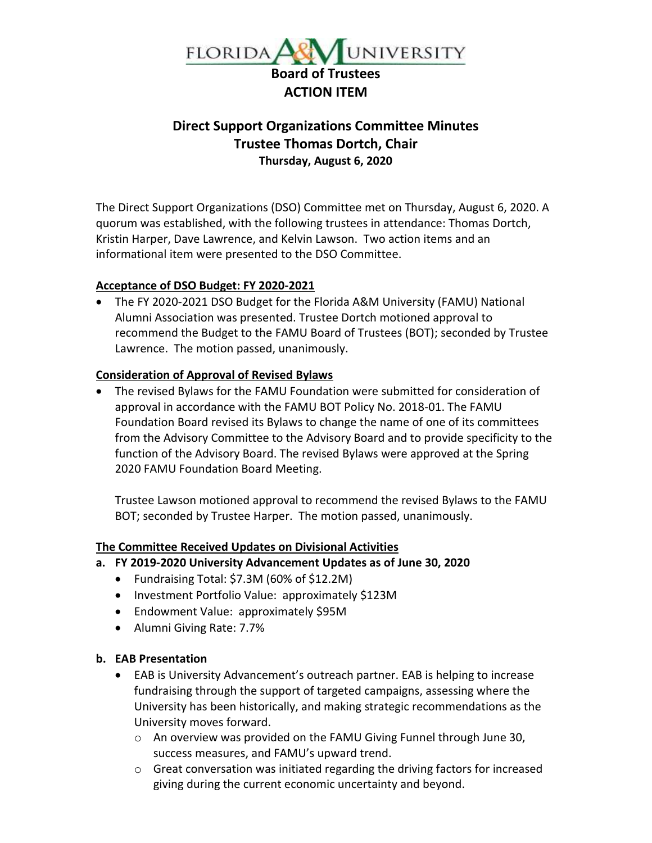

# **Direct Support Organizations Committee Minutes Trustee Thomas Dortch, Chair Thursday, August 6, 2020**

The Direct Support Organizations (DSO) Committee met on Thursday, August 6, 2020. A quorum was established, with the following trustees in attendance: Thomas Dortch, Kristin Harper, Dave Lawrence, and Kelvin Lawson. Two action items and an informational item were presented to the DSO Committee.

### **Acceptance of DSO Budget: FY 2020-2021**

• The FY 2020-2021 DSO Budget for the Florida A&M University (FAMU) National Alumni Association was presented. Trustee Dortch motioned approval to recommend the Budget to the FAMU Board of Trustees (BOT); seconded by Trustee Lawrence. The motion passed, unanimously.

#### **Consideration of Approval of Revised Bylaws**

• The revised Bylaws for the FAMU Foundation were submitted for consideration of approval in accordance with the FAMU BOT Policy No. 2018-01. The FAMU Foundation Board revised its Bylaws to change the name of one of its committees from the Advisory Committee to the Advisory Board and to provide specificity to the function of the Advisory Board. The revised Bylaws were approved at the Spring 2020 FAMU Foundation Board Meeting.

Trustee Lawson motioned approval to recommend the revised Bylaws to the FAMU BOT; seconded by Trustee Harper. The motion passed, unanimously.

### **The Committee Received Updates on Divisional Activities**

- **a. FY 2019-2020 University Advancement Updates as of June 30, 2020**
	- Fundraising Total: \$7.3M (60% of \$12.2M)
	- Investment Portfolio Value: approximately \$123M
	- Endowment Value: approximately \$95M
	- Alumni Giving Rate: 7.7%

### **b. EAB Presentation**

- EAB is University Advancement's outreach partner. EAB is helping to increase fundraising through the support of targeted campaigns, assessing where the University has been historically, and making strategic recommendations as the University moves forward.
	- o An overview was provided on the FAMU Giving Funnel through June 30, success measures, and FAMU's upward trend.
	- $\circ$  Great conversation was initiated regarding the driving factors for increased giving during the current economic uncertainty and beyond.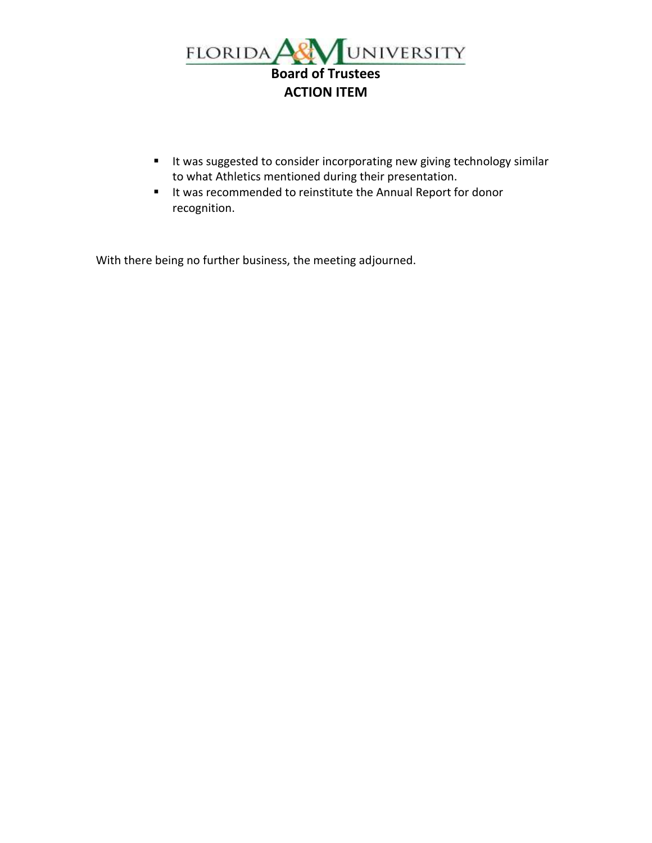

- It was suggested to consider incorporating new giving technology similar to what Athletics mentioned during their presentation.
- It was recommended to reinstitute the Annual Report for donor recognition.

With there being no further business, the meeting adjourned.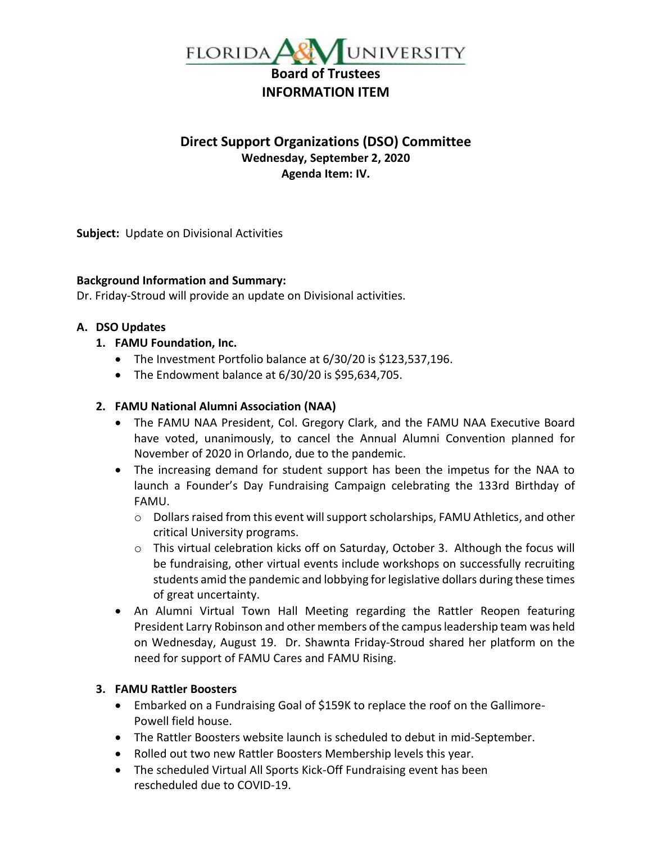

## **Direct Support Organizations (DSO) Committee Wednesday, September 2, 2020 Agenda Item: IV.**

 **Subject:** Update on Divisional Activities

### **Background Information and Summary:**

Dr. Friday-Stroud will provide an update on Divisional activities.

### **A. DSO Updates**

- **1. FAMU Foundation, Inc.**
	- The Investment Portfolio balance at 6/30/20 is \$123,537,196.
	- The Endowment balance at 6/30/20 is \$95,634,705.

### **2. FAMU National Alumni Association (NAA)**

- The FAMU NAA President, Col. Gregory Clark, and the FAMU NAA Executive Board have voted, unanimously, to cancel the Annual Alumni Convention planned for November of 2020 in Orlando, due to the pandemic.
- The increasing demand for student support has been the impetus for the NAA to launch a Founder's Day Fundraising Campaign celebrating the 133rd Birthday of FAMU.
	- $\circ$  Dollars raised from this event will support scholarships, FAMU Athletics, and other critical University programs.
	- $\circ$  This virtual celebration kicks off on Saturday, October 3. Although the focus will be fundraising, other virtual events include workshops on successfully recruiting students amid the pandemic and lobbying for legislative dollars during these times of great uncertainty.
- An Alumni Virtual Town Hall Meeting regarding the Rattler Reopen featuring President Larry Robinson and other members of the campus leadership team was held on Wednesday, August 19. Dr. Shawnta Friday-Stroud shared her platform on the need for support of FAMU Cares and FAMU Rising.

### **3. FAMU Rattler Boosters**

- Embarked on a Fundraising Goal of \$159K to replace the roof on the Gallimore-Powell field house.
- The Rattler Boosters website launch is scheduled to debut in mid-September.
- Rolled out two new Rattler Boosters Membership levels this year.
- The scheduled Virtual All Sports Kick-Off Fundraising event has been rescheduled due to COVID-19.